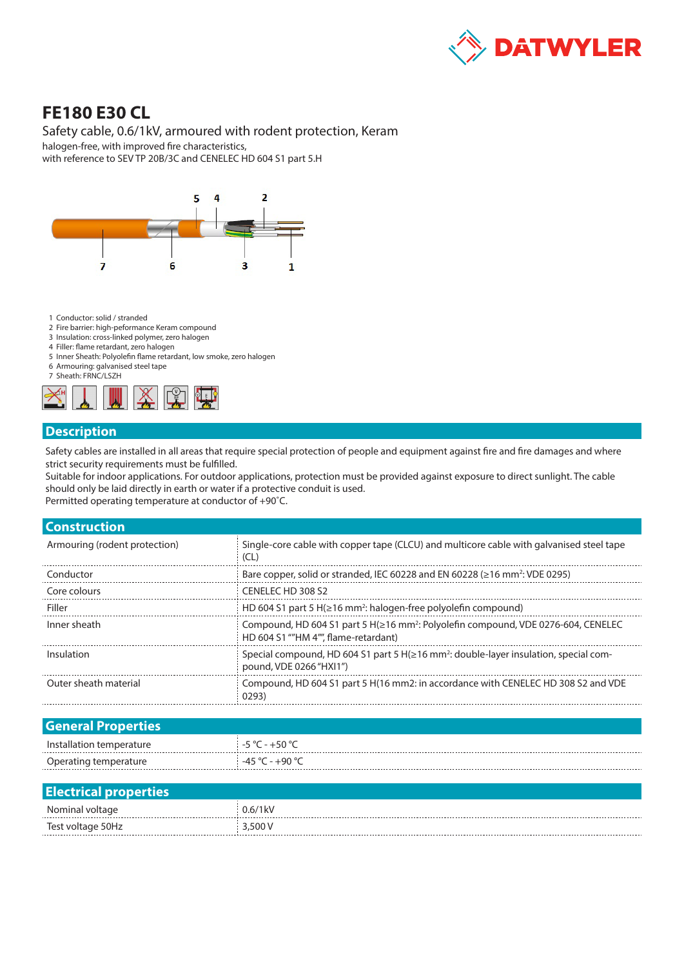

# **FE180 E30 CL**

### Safety cable, 0.6/1kV, armoured with rodent protection, Keram

halogen-free, with improved fire characteristics, with reference to SEV TP 20B/3C and CENELEC HD 604 S1 part 5.H



- 1 Conductor: solid / stranded
- 2 Fire barrier: high-peformance Keram compound
- 3 Insulation: cross-linked polymer, zero halogen
- 4 Filler: flame retardant, zero halogen
- 5 Inner Sheath: Polyolefin flame retardant, low smoke, zero halogen 6 Armouring: galvanised steel tape
- 7 Sheath: FRNC/LSZH



#### **Description**

Safety cables are installed in all areas that require special protection of people and equipment against fire and fire damages and where strict security requirements must be fulfilled.

Suitable for indoor applications. For outdoor applications, protection must be provided against exposure to direct sunlight. The cable should only be laid directly in earth or water if a protective conduit is used.

Permitted operating temperature at conductor of +90˚C.

| <b>Construction</b>           |                                                                                                                                       |
|-------------------------------|---------------------------------------------------------------------------------------------------------------------------------------|
| Armouring (rodent protection) | Single-core cable with copper tape (CLCU) and multicore cable with galvanised steel tape<br>(CL)                                      |
| Conductor                     | Bare copper, solid or stranded, IEC 60228 and EN 60228 ( $\geq$ 16 mm <sup>2</sup> : VDE 0295)                                        |
| Core colours                  | CENELECTHD 308 S2                                                                                                                     |
| Filler                        | HD 604 S1 part 5 H( $\geq$ 16 mm <sup>2</sup> : halogen-free polyolefin compound)                                                     |
| Inner sheath                  | Compound, HD 604 S1 part 5 H(≥16 mm <sup>2</sup> : Polyolefin compound, VDE 0276-604, CENELEC<br>HD 604 S1 ""HM 4"". flame-retardant) |
| Insulation                    | Special compound, HD 604 S1 part 5 H( $\geq$ 16 mm <sup>2</sup> : double-layer insulation, special com-<br>pound, VDE 0266 "HXI1")    |
| Outer sheath material         | Compound, HD 604 S1 part 5 H(16 mm2; in accordance with CENELEC HD 308 S2 and VDE<br>0293)                                            |
|                               |                                                                                                                                       |

| <b>General Properties</b> |                  |
|---------------------------|------------------|
| Installation temperature  | . -5 °C - +50 °C |
| Operating temperature     | -45 °C - +90 °C  |

| <b>Electrical properties</b> |         |
|------------------------------|---------|
| Nominal voltage              | 0.6/1kV |
| Test voltage 50Hz            | 3,500 V |